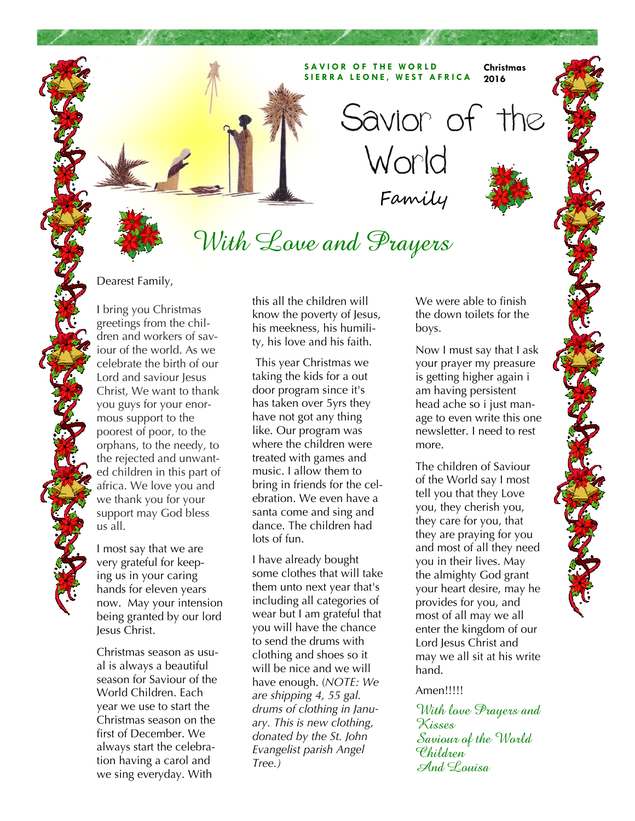#### **SAVIOR OF THE WORLD SIERRA LEONE, WEST AFRICA Christmas 2016**

Family

World

Savior of the

# With Love and Prayers

Dearest Family,

I bring you Christmas greetings from the children and workers of saviour of the world. As we celebrate the birth of our Lord and saviour Jesus Christ, We want to thank you guys for your enormous support to the poorest of poor, to the orphans, to the needy, to the rejected and unwanted children in this part of africa. We love you and we thank you for your support may God bless us all.

I most say that we are very grateful for keeping us in your caring hands for eleven years now. May your intension being granted by our lord Jesus Christ.

Christmas season as usual is always a beautiful season for Saviour of the World Children. Each year we use to start the Christmas season on the first of December. We always start the celebration having a carol and we sing everyday. With

this all the children will know the poverty of Jesus, his meekness, his humility, his love and his faith.

 This year Christmas we taking the kids for a out door program since it's has taken over 5yrs they have not got any thing like. Our program was where the children were treated with games and music. I allow them to bring in friends for the celebration. We even have a santa come and sing and dance. The children had lots of fun.

I have already bought some clothes that will take them unto next year that's including all categories of wear but I am grateful that you will have the chance to send the drums with clothing and shoes so it will be nice and we will have enough. (*NOTE: We are shipping 4, 55 gal. drums of clothing in January. This is new clothing, donated by the St. John Evangelist parish Angel Tree.)* 

We were able to finish the down toilets for the boys.

Now I must say that I ask your prayer my preasure is getting higher again i am having persistent head ache so i just manage to even write this one newsletter. I need to rest more.

The children of Saviour of the World say I most tell you that they Love you, they cherish you, they care for you, that they are praying for you and most of all they need you in their lives. May the almighty God grant your heart desire, may he provides for you, and most of all may we all enter the kingdom of our Lord Jesus Christ and may we all sit at his write hand.

#### Amen!!!!!

With love Prayers and Kisses Saviour of the World Children And Louisa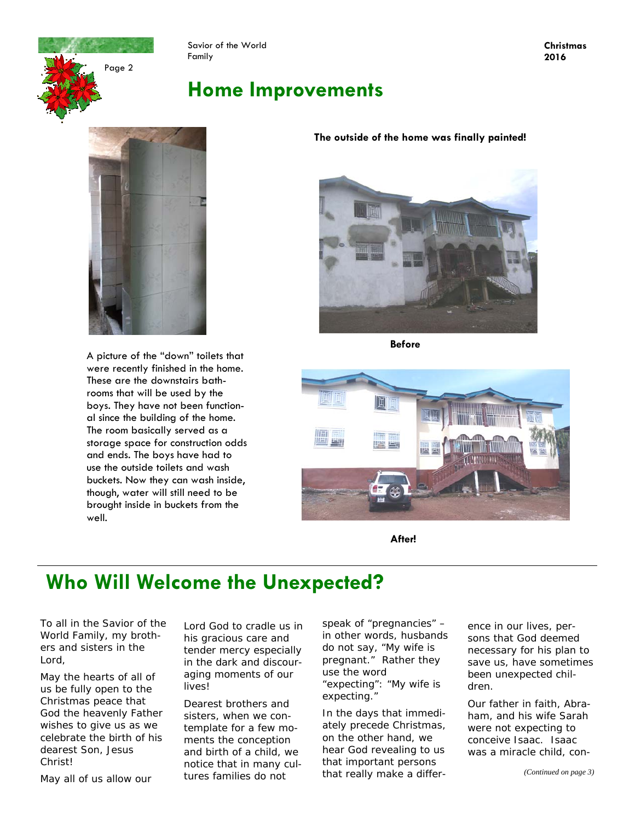Page 2

Savior of the World Family

### **Home Improvements**



A picture of the "down" toilets that were recently finished in the home. These are the downstairs bathrooms that will be used by the boys. They have not been functional since the building of the home. The room basically served as a storage space for construction odds and ends. The boys have had to use the outside toilets and wash buckets. Now they can wash inside, though, water will still need to be brought inside in buckets from the well.

#### **The outside of the home was finally painted!**



**Before** 



**After!** 

### **Who Will Welcome the Unexpected?**

*To all in the Savior of the World Family, my brothers and sisters in the Lord,* 

May the hearts of all of us be fully open to the Christmas peace that God the heavenly Father wishes to give us as we celebrate the birth of his dearest Son, Jesus Christ!

May all of us allow our

Lord God to cradle us in his gracious care and tender mercy especially in the dark and discouraging moments of our lives!

Dearest brothers and sisters, when we contemplate for a few moments the conception and birth of a child, we notice that in many cultures families do not

speak of "pregnancies" – in other words, husbands do not say, "My wife is pregnant." Rather they use the word "expecting": "My wife is expecting."

In the days that immediately precede Christmas, on the other hand, we hear God revealing to us that important persons that really make a difference in our lives, persons that God deemed necessary for his plan to save us, have sometimes been unexpected children.

Our father in faith, Abraham, and his wife Sarah were not expecting to conceive Isaac. Isaac was a miracle child, con-

**Christmas 2016**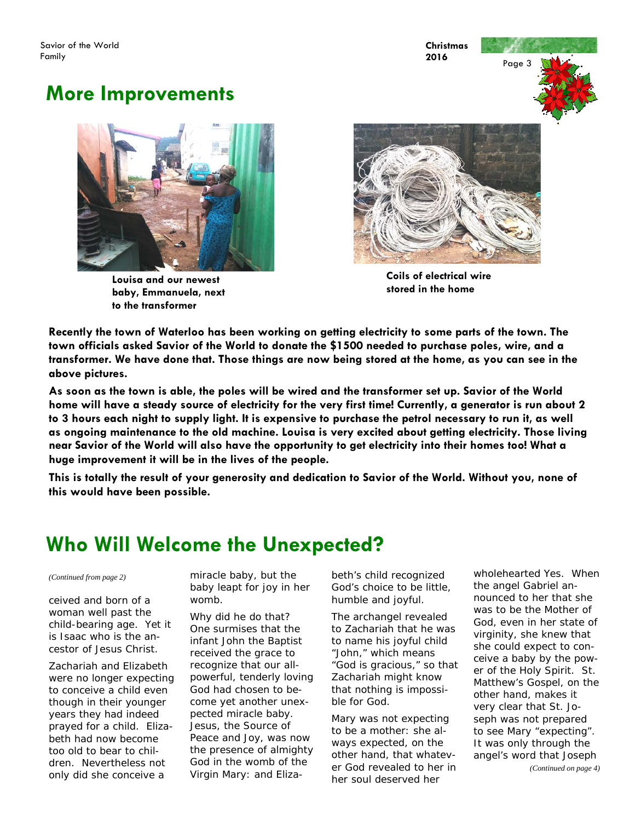**Christmas 2016** 

### **More Improvements**



**Louisa and our newest baby, Emmanuela, next to the transformer** 



**Coils of electrical wire stored in the home** 

**Recently the town of Waterloo has been working on getting electricity to some parts of the town. The town officials asked Savior of the World to donate the \$1500 needed to purchase poles, wire, and a transformer. We have done that. Those things are now being stored at the home, as you can see in the above pictures.** 

**As soon as the town is able, the poles will be wired and the transformer set up. Savior of the World home will have a steady source of electricity for the very first time! Currently, a generator is run about 2 to 3 hours each night to supply light. It is expensive to purchase the petrol necessary to run it, as well as ongoing maintenance to the old machine. Louisa is very excited about getting electricity. Those living near Savior of the World will also have the opportunity to get electricity into their homes too! What a huge improvement it will be in the lives of the people.** 

**This is totally the result of your generosity and dedication to Savior of the World. Without you, none of this would have been possible.** 

## **Who Will Welcome the Unexpected?**

ceived and born of a woman well past the child-bearing age. Yet it is Isaac who is the ancestor of Jesus Christ.

Zachariah and Elizabeth were no longer expecting to conceive a child even though in their younger years they had indeed prayed for a child. Elizabeth had now become too old to bear to children. Nevertheless not only did she conceive a

*(Continued from page 2)* miracle baby, but the baby leapt for joy in her womb.

> Why did he do that? One surmises that the infant John the Baptist received the grace to recognize that our allpowerful, tenderly loving God had chosen to become yet another unexpected miracle baby. Jesus, the Source of Peace and Joy, was now the presence of almighty God in the womb of the Virgin Mary: and Eliza

beth's child recognized God's choice to be little, humble and joyful.

The archangel revealed to Zachariah that he was to name his joyful child "John," which means "God is gracious," so that Zachariah might know that nothing is impossible for God.

Mary was not expecting to be a mother: she always expected, on the other hand, that whatever God revealed to her in her soul deserved her

wholehearted Yes. When the angel Gabriel announced to her that she was to be the Mother of God, even in her state of virginity, she knew that she could expect to conceive a baby by the power of the Holy Spirit. St. Matthew's Gospel, on the other hand, makes it very clear that St. Joseph was not prepared to see Mary "expecting". It was only through the angel's word that Joseph